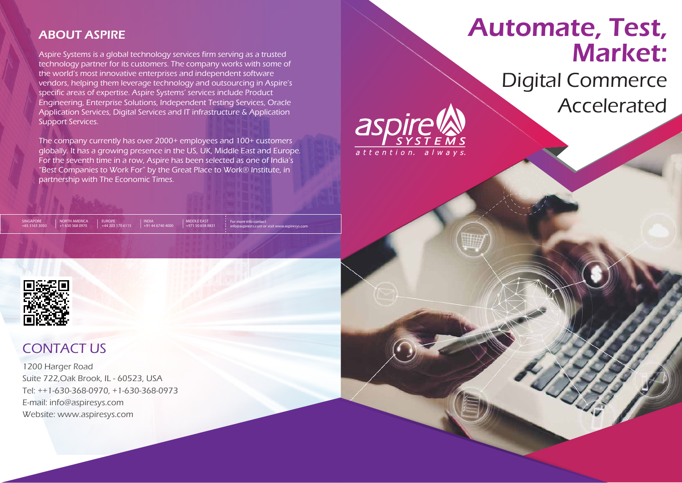# Automate, Test, Market: Digital Commerce Accelerated

Aspire Systems is a global technology services firm serving as a trusted technology partner for its customers. The company works with some of the world's most innovative enterprises and independent software vendors, helping them leverage technology and outsourcing in Aspire's specific areas of expertise. Aspire Systems' services include Product Engineering, Enterprise Solutions, Independent Testing Services, Oracle Application Services, Digital Services and IT infrastructure & Application Support Services.

# ABOUT ASPIRE

The company currently has over 2000+ employees and 100+ customers globally. It has a growing presence in the US, UK, Middle East and Europe. For the seventh time in a row, Aspire has been selected as one of India's "Best Companies to Work For" by the Great Place to Work® Institute, in partnership with The Economic Times.

# CONTACT US

1200 Harger Road Suite 722,Oak Brook, IL - 60523, USA Tel: ++1-630-368-0970, +1-630-368-0973 E-mail: info@aspiresys.com Website: www.aspiresys.com

NORTH AMERICA +1 630 368 0970

SINGAPORE +65 3163 3050

EUROPE +44 203 170 6115 INDIA +91 44 6740 4000 MIDDLE EAST +971 50 658 883 For more info contact

info@aspirests.com or visit www.aspiresys.com

aspire

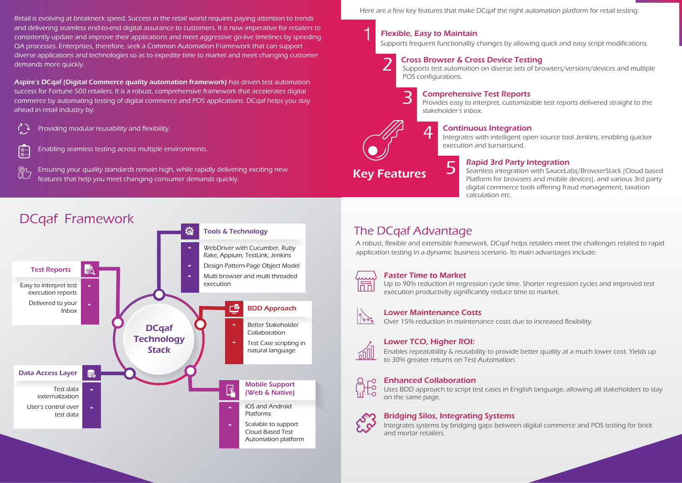2

Retail is evolving at breakneck speed. Success in the retail world requires paying attention to trends and delivering seamless end-to-end digital assurance to customers. It is now imperative for retailers to consistently update and improve their applications and meet aggressive go-live timelines by speeding QA processes. Enterprises, therefore, seek a Common Automation Framework that can support diverse applications and technologies so as to expedite time to market and meet changing customer demands more quickly.

Aspire's DCqaf (Digital Commerce quality automation framework) has driven test automation success for Fortune 500 retailers. It is a robust, comprehensive framework that accelerates digital commerce by automating testing of digital commerce and POS applications. DCqaf helps you stay ahead in retail industry by:

Here are a few key features that make DCqaf the right automation platform for retail testing:

A robust, flexible and extensible framework, DCqaf helps retailers meet the challenges related to rapid application testing in a dynamic business scenario. Its main advantages include:



### **Faster Time to Market**

**3 Comprehensive Test Reports**<br>Provides easy to interpret, customizable test reports delivered straight to the stakeholder's inbox.

**4 Continuous Integration**<br>Integrates with intelligent open source tool Jenkins, enabling quicker execution and turnaround.

Supports frequent functionality changes by allowing quick and easy script modifications.

Providing modular reusability and flexibility.



Enabling seamless testing across multiple environments.

Ensuring your quality standards remain high, while rapidly delivering exciting new features that help you meet changing consumer demands quickly.

# **DCqaf Framework**



Key Features

# Flexible, Easy to Maintain

Seamless integration with SauceLabs/BrowserStack (Cloud based Platform for browsers and mobile devices), and various 3rd party digital commerce tools offering fraud management, taxation

calculation etc.

## **The DCgaf Advantage**

Up to 90% reduction in regression cycle time. Shorter regression cycles and improved test execution productivity significantly reduce time to market.



### 5 Rapid 3rd Party Integration

Over 15% reduction in maintenance costs due to increased flexibility.



### Lower Maintenance Costs

Enables repeatability & reusability to provide better quality at a much lower cost. Yields up to 30% greater returns on Test Automation.



### Lower TCO, Higher ROI:

Uses BDD approach to script test cases in English language, allowing all stakeholders to stay on the same page.



### Enhanced Collaboration

Integrates systems by bridging gaps between digital commerce and POS testing for brick and mortar retailers.

### Bridging Silos, Integrating Systems

Supports test automation on diverse sets of browsers/versions/devices and multiple POS configurations.

### Cross Browser & Cross Device Testing

1